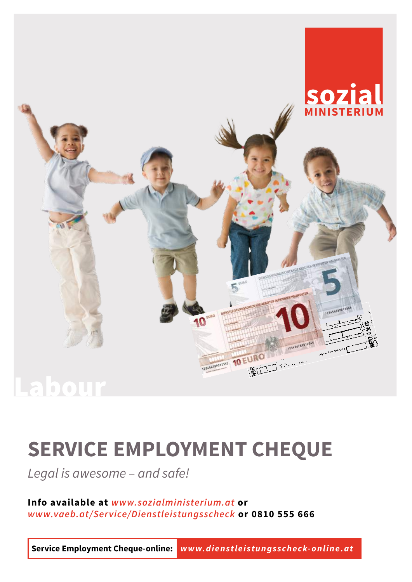

# **SERVICE EMPLOYMENT CHEQUE**

*Legal is awesome – and safe!*

**Info available at** *[www.sozialministerium.at](http://www.sozialministerium.at)* **or** *[www.vaeb.at/Service/Dienstleistungsscheck](http://www.vaeb.at/portal27/portal/vaebportal/content/contentWindow?contentid=10007.721346&action=2&viewmode=content)* **or 0810 555 666**

**Service Employment Cheque-online:** *[www.dienstleistungsscheck-online.at](http://www.dienstleistungsscheck-online.at)*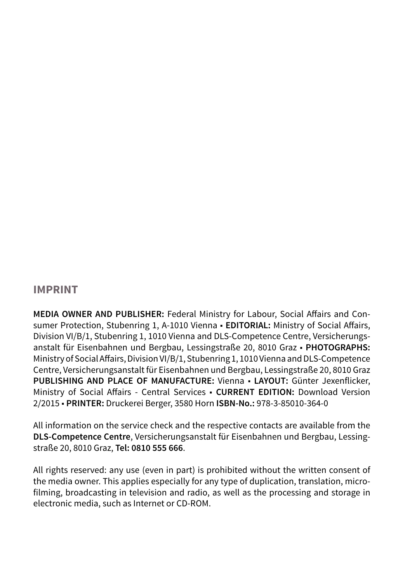#### **IMPRINT**

**MEDIA OWNER AND PUBLISHER:** Federal Ministry for Labour, Social Affairs and Consumer Protection, Stubenring 1, A-1010 Vienna · **EDITORIAL:** Ministry of Social Affairs, Division VI/B/1, Stubenring 1, 1010 Vienna and DLS-Competence Centre, Versicherungsanstalt für Eisenbahnen und Bergbau, Lessingstraße 20, 8010 Graz ■ **PHOTOGRAPHS:** Ministry of Social Affairs, Division VI/B/1, Stubenring 1, 1010 Vienna and DLS-Competence Centre, Versicherungsanstalt für Eisenbahnen und Bergbau, Lessingstraße 20, 8010 Graz **PUBLISHING AND PLACE OF MANUFACTURE:** Vienna ■ **LAYOUT:** Günter Jexenflicker, Ministry of Social Affairs - Central Services ■ **CURRENT EDITION:** Download Version [2/](DBF_Aktuelle_Auflage)[2015](DBF_Jahr) ■ **PRINTER:** Druckerei Berger, 3580 Horn **ISBN-No.:** 978-3-85010-364-0

All information on the service check and the respective contacts are available from the **DLS-Competence Centre**, Versicherungsanstalt für Eisenbahnen und Bergbau, Lessingstraße 20, 8010 Graz, **Tel: 0810 555 666**.

All rights reserved: any use (even in part) is prohibited without the written consent of the media owner. This applies especially for any type of duplication, translation, microfilming, broadcasting in television and radio, as well as the processing and storage in electronic media, such as Internet or CD-ROM.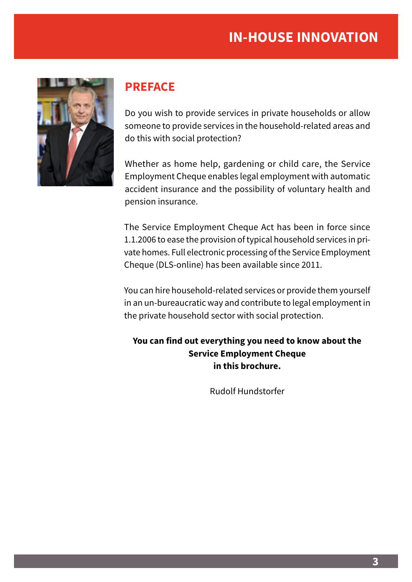

# **PREFACE**

Do you wish to provide services in private households or allow someone to provide services in the household-related areas and do this with social protection?

Whether as home help, gardening or child care, the Service Employment Cheque enables legal employment with automatic accident insurance and the possibility of voluntary health and pension insurance.

The Service Employment Cheque Act has been in force since 1.1.2006 to ease the provision of typical household services in private homes. Full electronic processing of the Service Employment Cheque (DLS-online) has been available since 2011.

You can hire household-related services or provide them yourself in an un-bureaucratic way and contribute to legal employment in the private household sector with social protection.

**You can find out everything you need to know about the Service Employment Cheque in this brochure.**

Rudolf Hundstorfer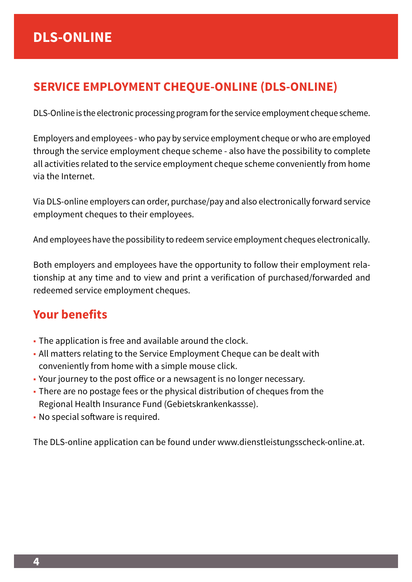# **SERVICE EMPLOYMENT CHEQUE-ONLINE (DLS-ONLINE)**

DLS-Online is the electronic processing program for the service employment cheque scheme.

Employers and employees - who pay by service employment cheque or who are employed through the service employment cheque scheme - also have the possibility to complete all activities related to the service employment cheque scheme conveniently from home via the Internet.

Via DLS-online employers can order, purchase/pay and also electronically forward service employment cheques to their employees.

And employees have the possibility to redeem service employment cheques electronically.

Both employers and employees have the opportunity to follow their employment relationship at any time and to view and print a verification of purchased/forwarded and redeemed service employment cheques.

# **Your benefits**

- The application is free and available around the clock.
- All matters relating to the Service Employment Cheque can be dealt with conveniently from home with a simple mouse click.
- Your journey to the post office or a newsagent is no longer necessary.
- There are no postage fees or the physical distribution of cheques from the Regional Health Insurance Fund (Gebietskrankenkassse).
- No special software is required.

The DLS-online application can be found under www.dienstleistungsscheck-online.at.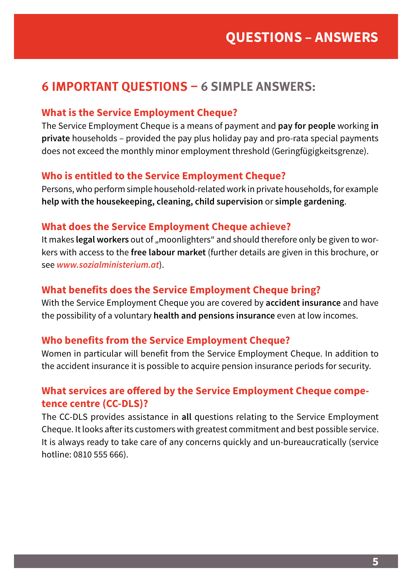# **6 IMPORTANT QUESTIONS – 6 SIMPLE ANSWERS:**

#### **What is the Service Employment Cheque?**

The Service Employment Cheque is a means of payment and **pay for people** working **in private** households – provided the pay plus holiday pay and pro-rata special payments does not exceed the monthly minor employment threshold (Geringfügigkeitsgrenze).

#### **Who is entitled to the Service Employment Cheque?**

Persons, who perform simple household-related work in private households, for example **help with the housekeeping, cleaning, child supervision** or **simple gardening**.

#### **What does the Service Employment Cheque achieve?**

It makes **legal workers** out of "moonlighters" and should therefore only be given to workers with access to the **free labour market** (further details are given in this brochure, or see *www.sozialministerium.at*).

#### **What benefits does the Service Employment Cheque bring?**

With the Service Employment Cheque you are covered by **accident insurance** and have the possibility of a voluntary **health and pensions insurance** even at low incomes.

#### **Who benefits from the Service Employment Cheque?**

Women in particular will benefit from the Service Employment Cheque. In addition to the accident insurance it is possible to acquire pension insurance periods for security.

#### **What services are offered by the Service Employment Cheque competence centre (CC-DLS)?**

The CC-DLS provides assistance in **all** questions relating to the Service Employment Cheque. It looks after its customers with greatest commitment and best possible service. It is always ready to take care of any concerns quickly and un-bureaucratically (service hotline: 0810 555 666).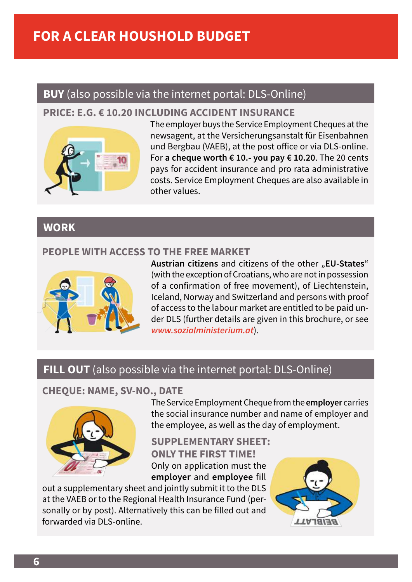# **FOR A CLEAR HOUSHOLD BUDGET**

# **BUY** (also possible via the internet portal: DLS-Online)

#### **PRICE: E.G. € 10.20 INCLUDING ACCIDENT INSURANCE**



The employer buys the Service Employment Cheques at the newsagent, at the Versicherungsanstalt für Eisenbahnen und Bergbau (VAEB), at the post office or via DLS-online. For **a cheque worth € 10.- you pay € 10.20**. The 20 cents pays for accident insurance and pro rata administrative costs. Service Employment Cheques are also available in other values.

# **WORK**

#### **PEOPLE WITH ACCESS TO THE FREE MARKET**



Austrian citizens and citizens of the other "EU-States" (with the exception of Croatians, who are not in possession of a confirmation of free movement), of Liechtenstein, Iceland, Norway and Switzerland and persons with proof of access to the labour market are entitled to be paid under DLS (further details are given in this brochure, or see *[www.sozialministerium.at](http://www.sozialministerium.at)*).

# **FILL OUT** (also possible via the internet portal: DLS-Online)

#### **CHEQUE: NAME, SV-NO., DATE**



The Service Employment Cheque from the **employer** carries the social insurance number and name of employer and the employee, as well as the day of employment.

**SUPPLEMENTARY SHEET: ONLY THE FIRST TIME!** Only on application must the **employer** and **employee** fill

out a supplementary sheet and jointly submit it to the DLS at the VAEB or to the Regional Health Insurance Fund (personally or by post). Alternatively this can be filled out and forwarded via DLS-online.

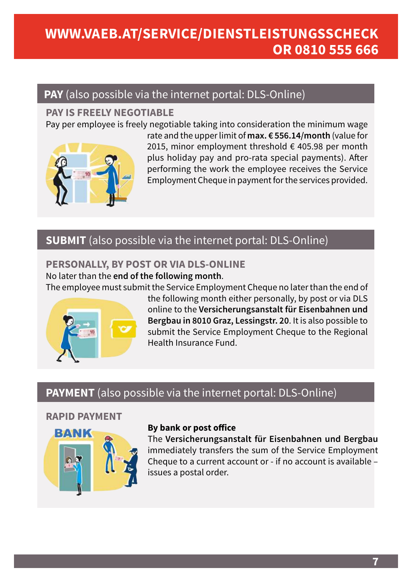# **WWW.VAEB.AT/SERVICE/DIENSTLEISTUNGSSCHECK OR 0810 555 666**

# **PAY** (also possible via the internet portal: DLS-Online)

#### **PAY IS FREELY NEGOTIABLE**

Pay per employee is freely negotiable taking into consideration the minimum wage



rate and the upper limit of **max. € [556.14](DBF_Wert1)/month** (value for [2015](DBF_Jahr), minor employment threshold € [405.98](DBF_Wert2) per month plus holiday pay and pro-rata special payments). After performing the work the employee receives the Service Employment Cheque in payment for the services provided.

# **SUBMIT** (also possible via the internet portal: DLS-Online)

### **PERSONALLY, BY POST OR VIA DLS-ONLINE**

No later than the **end of the following month**.

The employee must submit the Service Employment Cheque no later than the end of



the following month either personally, by post or via DLS online to the **Versicherungsanstalt für Eisenbahnen und Bergbau in 8010 Graz, Lessingstr. 20**. It is also possible to submit the Service Employment Cheque to the Regional Health Insurance Fund.

# **PAYMENT** (also possible via the internet portal: DLS-Online)

#### **RAPID PAYMENT**



#### **By bank or post office**

The **Versicherungsanstalt für Eisenbahnen und Bergbau** immediately transfers the sum of the Service Employment Cheque to a current account or - if no account is available – issues a postal order.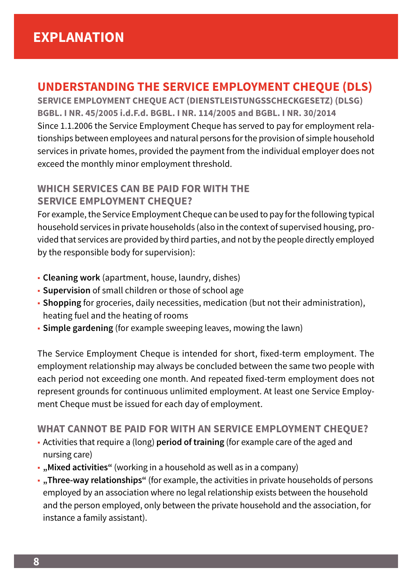# **UNDERSTANDING THE SERVICE EMPLOYMENT CHEQUE (DLS)**

**SERVICE EMPLOYMENT CHEQUE ACT (DIENSTLEISTUNGSSCHECKGESETZ) (DLSG) BGBL. I NR. 45/2005 i.d.F.d. BGBL. I NR. 114/2005 and BGBL. I NR. 30/2014** Since 1.1.2006 the Service Employment Cheque has served to pay for employment relationships between employees and natural persons for the provision of simple household services in private homes, provided the payment from the individual employer does not exceed the monthly minor employment threshold.

#### **WHICH SERVICES CAN BE PAID FOR WITH THE SERVICE EMPLOYMENT CHEQUE?**

For example, the Service Employment Cheque can be used to pay for the following typical household services in private households (also in the context of supervised housing, provided that services are provided by third parties, and not by the people directly employed by the responsible body for supervision):

- **Cleaning work** (apartment, house, laundry, dishes)
- **Supervision** of small children or those of school age
- **Shopping** for groceries, daily necessities, medication (but not their administration), heating fuel and the heating of rooms
- **· Simple gardening** (for example sweeping leaves, mowing the lawn)

The Service Employment Cheque is intended for short, fixed-term employment. The employment relationship may always be concluded between the same two people with each period not exceeding one month. And repeated fixed-term employment does not represent grounds for continuous unlimited employment. At least one Service Employment Cheque must be issued for each day of employment.

#### **WHAT CANNOT BE PAID FOR WITH AN SERVICE EMPLOYMENT CHEQUE?**

- Activities that require a (long) **period of training** (for example care of the aged and nursing care)
- **"Mixed activities"** (working in a household as well as in a company)
- **"Three-way relationships"** (for example, the activities in private households of persons employed by an association where no legal relationship exists between the household and the person employed, only between the private household and the association, for instance a family assistant).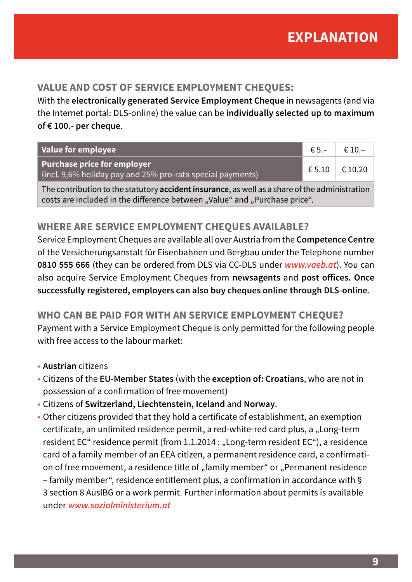#### **VALUE AND COST OF SERVICE EMPLOYMENT CHEQUES:**

With the **electronically generated Service Employment Cheque** in newsagents (and via the Internet portal: DLS-online) the value can be **individually selected up to maximum of € 100.- per cheque**.

| Value for employee                                                                               | $\epsilon$ 5.- | $\epsilon$ 10.- |
|--------------------------------------------------------------------------------------------------|----------------|-----------------|
| Purchase price for employer<br>$\mid$ (incl. 9,6% holiday pay and 25% pro-rata special payments) | € 5.10         | € 10.20         |

The contribution to the statutory **accident insurance**, as well as a share of the administration costs are included in the difference between "Value" and "Purchase price".

#### **WHERE ARE SERVICE EMPLOYMENT CHEQUES AVAILABLE?**

Service Employment Cheques are available all over Austria from the **Competence Centre**  of the Versicherungsanstalt für Eisenbahnen und Bergbau under the Telephone number **0810 555 666** (they can be ordered from DLS via CC-DLS under *[www.vaeb.at](http://www.vaeb.at)*). You can also acquire Service Employment Cheques from **newsagents** and **post offices. Once successfully registered, employers can also buy cheques online through DLS-online**.

#### **WHO CAN BE PAID FOR WITH AN SERVICE EMPLOYMENT CHEQUE?**

Payment with a Service Employment Cheque is only permitted for the following people with free access to the labour market:

- **Austrian** citizens
- Citizens of the **EU-Member States** (with the **exception of: Croatians**, who are not in possession of a confirmation of free movement)
- Citizens of **Switzerland, Liechtenstein, Iceland** and **Norway**.
- Other citizens provided that they hold a certificate of establishment, an exemption certificate, an unlimited residence permit, a red-white-red card plus, a "Long-term resident EC" residence permit (from 1.1.2014 : "Long-term resident EC"), a residence card of a family member of an EEA citizen, a permanent residence card, a confirmation of free movement, a residence title of "family member" or "Permanent residence – family member", residence entitlement plus, a confirmation in accordance with § 3 section 8 AuslBG or a work permit. Further information about permits is available under *[www.sozialministerium.at](http://www.sozialministerium.at)*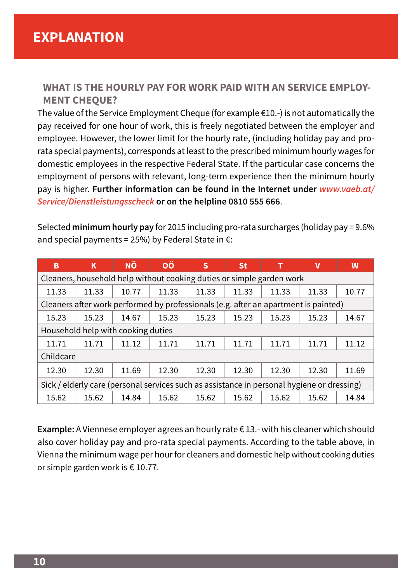#### **WHAT IS THE HOURLY PAY FOR WORK PAID WITH AN SERVICE EMPLOY-MENT CHEQUE?**

The value of the Service Employment Cheque (for example  $E(10,-)$  is not automatically the pay received for one hour of work, this is freely negotiated between the employer and employee. However, the lower limit for the hourly rate, (including holiday pay and prorata special payments), corresponds at least to the prescribed minimum hourly wages for domestic employees in the respective Federal State. If the particular case concerns the employment of persons with relevant, long-term experience then the minimum hourly pay is higher. **Further information can be found in the Internet under** *[www.vaeb.at/](http://www.vaeb.at/portal27/portal/vaebportal/content/contentWindow?contentid=10007.721346&action=2&viewmode=content) [Service/Dienstleistungsscheck](http://www.vaeb.at/portal27/portal/vaebportal/content/contentWindow?contentid=10007.721346&action=2&viewmode=content)* **or on the helpline 0810 555 666**.

Selected **minimum hourly pay** for [2015](DBF_Jahr) including pro-rata surcharges (holiday pay = 9.6% and special payments = 25%) by Federal State in  $\epsilon$ :

| в                                                                                          | ĸ     | ΝÖ    | ΟÖ    | S     | <b>St</b> |       | v     | W     |  |  |
|--------------------------------------------------------------------------------------------|-------|-------|-------|-------|-----------|-------|-------|-------|--|--|
| Cleaners, household help without cooking duties or simple garden work                      |       |       |       |       |           |       |       |       |  |  |
| 11.33                                                                                      | 11.33 | 10.77 | 11.33 | 11.33 | 11.33     | 11.33 | 11.33 | 10.77 |  |  |
| Cleaners after work performed by professionals (e.g. after an apartment is painted)        |       |       |       |       |           |       |       |       |  |  |
| 15.23                                                                                      | 15.23 | 14.67 | 15.23 | 15.23 | 15.23     | 15.23 | 15.23 | 14.67 |  |  |
| Household help with cooking duties                                                         |       |       |       |       |           |       |       |       |  |  |
| 11.71                                                                                      | 11.71 | 11.12 | 11.71 | 11.71 | 11.71     | 11.71 | 11.71 | 11.12 |  |  |
| Childcare                                                                                  |       |       |       |       |           |       |       |       |  |  |
| 12.30                                                                                      | 12.30 | 11.69 | 12.30 | 12.30 | 12.30     | 12.30 | 12.30 | 11.69 |  |  |
| Sick / elderly care (personal services such as assistance in personal hygiene or dressing) |       |       |       |       |           |       |       |       |  |  |
| 15.62                                                                                      | 15.62 | 14.84 | 15.62 | 15.62 | 15.62     | 15.62 | 15.62 | 14.84 |  |  |

**Example:** A Viennese employer agrees an hourly rate € 13.- with his cleaner which should also cover holiday pay and pro-rata special payments. According to the table above, in Vienna the minimum wage per hour for cleaners and domestic help without cooking duties or simple garden work is € [10.77](DBF_W).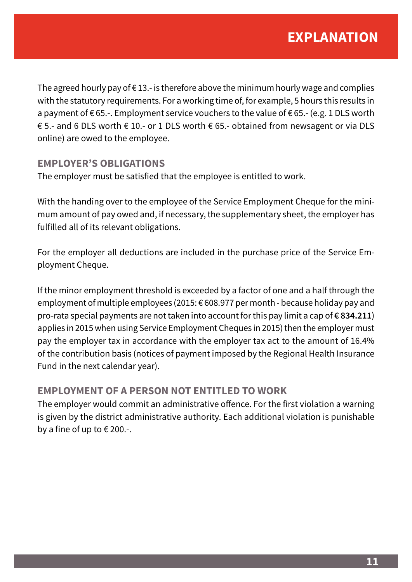The agreed hourly pay of  $\epsilon$  13.- is therefore above the minimum hourly wage and complies with the statutory requirements. For a working time of, for example, 5 hours this results in a payment of € 65.-. Employment service vouchers to the value of € 65.- (e.g. 1 DLS worth € 5.- and 6 DLS worth € 10.- or 1 DLS worth € 65.- obtained from newsagent or via DLS online) are owed to the employee.

#### **EMPLOYER'S OBLIGATIONS**

The employer must be satisfied that the employee is entitled to work.

With the handing over to the employee of the Service Employment Cheque for the minimum amount of pay owed and, if necessary, the supplementary sheet, the employer has fulfilled all of its relevant obligations.

For the employer all deductions are included in the purchase price of the Service Employment Cheque.

If the minor employment threshold is exceeded by a factor of one and a half through the employment of multiple employees [\(2015:](DBF_Jahr) € [608.97](DBF_Wert5)7 per month - because holiday pay and pro-rata special payments are not taken into account for this pay limit a cap of **€ [834.211](DBF_Wert6)**) applies in [2015](DBF_Jahr) when using Service Employment Cheques in [2015](DBF_Jahr)) then the employer must pay the employer tax in accordance with the employer tax act to the amount of 16.4% of the contribution basis (notices of payment imposed by the Regional Health Insurance Fund in the next calendar year).

#### **EMPLOYMENT OF A PERSON NOT ENTITLED TO WORK**

The employer would commit an administrative offence. For the first violation a warning is given by the district administrative authority. Each additional violation is punishable by a fine of up to € 200.-.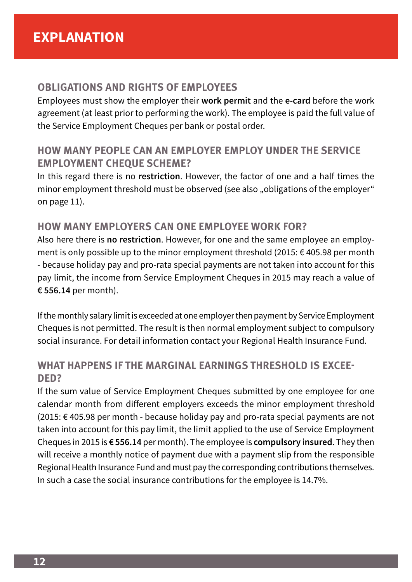#### **OBLIGATIONS AND RIGHTS OF EMPLOYEES**

Employees must show the employer their **work permit** and the **e-card** before the work agreement (at least prior to performing the work). The employee is paid the full value of the Service Employment Cheques per bank or postal order.

# **HOW MANY PEOPLE CAN AN EMPLOYER EMPLOY UNDER THE SERVICE EMPLOYMENT CHEQUE SCHEME?**

In this regard there is no **restriction**. However, the factor of one and a half times the minor employment threshold must be observed (see also "obligations of the employer" on page 11).

#### **HOW MANY EMPLOYERS CAN ONE EMPLOYEE WORK FOR?**

Also here there is **no restriction**. However, for one and the same employee an employment is only possible up to the minor employment threshold [\(2015:](DBF_Jahr) € [405.98](DBF_Wert2) per month - because holiday pay and pro-rata special payments are not taken into account for this pay limit, the income from Service Employment Cheques in [2015](DBF_Jahr) may reach a value of **€ [556.14](DBF_Wert1)** per month).

If the monthly salary limit is exceeded at one employer then payment by Service Employment Cheques is not permitted. The result is then normal employment subject to compulsory social insurance. For detail information contact your Regional Health Insurance Fund.

#### **WHAT HAPPENS IF THE MARGINAL EARNINGS THRESHOLD IS EXCEE-DED?**

If the sum value of Service Employment Cheques submitted by one employee for one calendar month from different employers exceeds the minor employment threshold [\(2015](DBF_Jahr): € [405.98](DBF_Wert2) per month - because holiday pay and pro-rata special payments are not taken into account for this pay limit, the limit applied to the use of Service Employment Cheques in [2015](DBF_Jahr) is **€ [556.14](DBF_Wert1)** per month). The employee is **compulsory insured**. They then will receive a monthly notice of payment due with a payment slip from the responsible Regional Health Insurance Fund and must pay the corresponding contributions themselves. In such a case the social insurance contributions for the employee is 14.7%.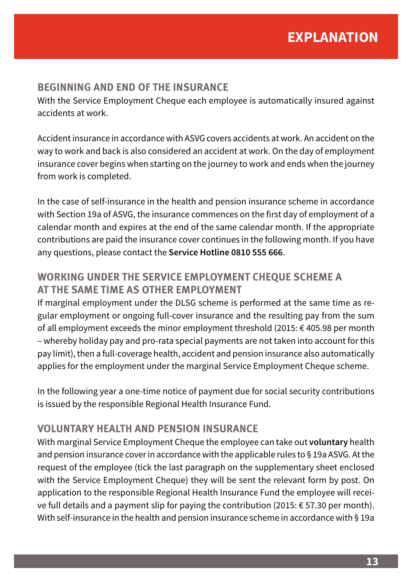#### **BEGINNING AND END OF THE INSURANCE**

With the Service Employment Cheque each employee is automatically insured against accidents at work.

Accident insurance in accordance with ASVG covers accidents at work. An accident on the way to work and back is also considered an accident at work. On the day of employment insurance cover begins when starting on the journey to work and ends when the journey from work is completed.

In the case of self-insurance in the health and pension insurance scheme in accordance with Section 19a of ASVG, the insurance commences on the first day of employment of a calendar month and expires at the end of the same calendar month. If the appropriate contributions are paid the insurance cover continues in the following month. If you have any questions, please contact the **Service Hotline 0810 555 666**.

#### **WORKING UNDER THE SERVICE EMPLOYMENT CHEQUE SCHEME A AT THE SAME TIME AS OTHER EMPLOYMENT**

If marginal employment under the DLSG scheme is performed at the same time as regular employment or ongoing full-cover insurance and the resulting pay from the sum of all employment exceeds the minor employment threshold (2015: € 405.98 per month – whereby holiday pay and pro-rata special payments are not taken into account for this pay limit), then a full-coverage health, accident and pension insurance also automatically applies for the employment under the marginal Service Employment Cheque scheme.

In the following year a one-time notice of payment due for social security contributions is issued by the responsible Regional Health Insurance Fund.

#### **VOLUNTARY HEALTH AND PENSION INSURANCE**

With marginal Service Employment Cheque the employee can take out **voluntary** health and pension insurance cover in accordance with the applicable rules to § 19a ASVG. At the request of the employee (tick the last paragraph on the supplementary sheet enclosed with the Service Employment Cheque) they will be sent the relevant form by post. On application to the responsible Regional Health Insurance Fund the employee will recei-ve full details and a payment slip for paying the contribution [\(2015](DBF_Jahr):  $\epsilon$  [57.30](DBF_Wert7) per month). With self-insurance in the health and pension insurance scheme in accordance with § 19a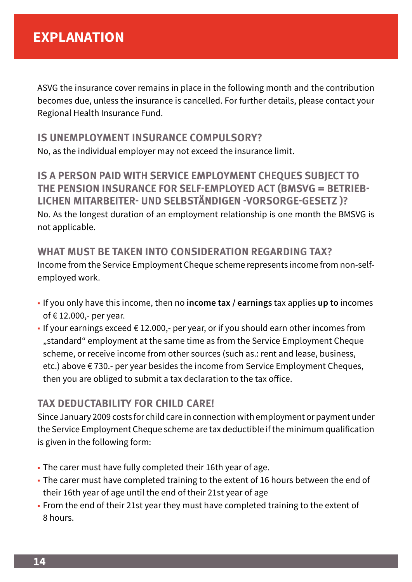ASVG the insurance cover remains in place in the following month and the contribution becomes due, unless the insurance is cancelled. For further details, please contact your Regional Health Insurance Fund.

#### **IS UNEMPLOYMENT INSURANCE COMPULSORY?**  No, as the individual employer may not exceed the insurance limit.

**IS A PERSON PAID WITH SERVICE EMPLOYMENT CHEQUES SUBJECT TO THE PENSION INSURANCE FOR SELF-EMPLOYED ACT (BMSVG = BETRIEB-LICHEN MITARBEITER- UND SELBSTÄNDIGEN -VORSORGE-GESETZ )?** No. As the longest duration of an employment relationship is one month the BMSVG is not applicable.

### **WHAT MUST BE TAKEN INTO CONSIDERATION REGARDING TAX?**

Income from the Service Employment Cheque scheme represents income from non-selfemployed work.

- If you only have this income, then no **income tax / earnings** tax applies **up to** incomes of € 12.000,- per year.
- **•** If your earnings exceed  $\in$  12.000,- per year, or if you should earn other incomes from "standard" employment at the same time as from the Service Employment Cheque scheme, or receive income from other sources (such as.: rent and lease, business, etc.) above € 730.- per year besides the income from Service Employment Cheques, then you are obliged to submit a tax declaration to the tax office.

### **TAX DEDUCTABILITY FOR CHILD CARE!**

Since January 2009 costs for child care in connection with employment or payment under the Service Employment Cheque scheme are tax deductible if the minimum qualification is given in the following form:

- The carer must have fully completed their 16th year of age.
- The carer must have completed training to the extent of 16 hours between the end of their 16th year of age until the end of their 21st year of age
- From the end of their 21st year they must have completed training to the extent of 8 hours.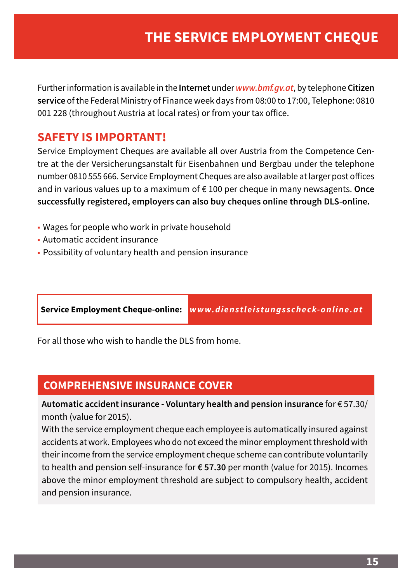Further information is available in the **Internet** under *[www.bmf.gv.at](http://www.bmf.gv.at)*, by telephone **Citizen service** of the Federal Ministry of Finance week days from 08:00 to 17:00, Telephone: 0810 001 228 (throughout Austria at local rates) or from your tax office.

# **SAFETY IS IMPORTANT!**

Service Employment Cheques are available all over Austria from the Competence Centre at the der Versicherungsanstalt für Eisenbahnen und Bergbau under the telephone number 0810 555 666. Service Employment Cheques are also available at larger post offices and in various values up to a maximum of € 100 per cheque in many newsagents. **Once successfully registered, employers can also buy cheques online through DLS-online.**

- Wages for people who work in private household
- Automatic accident insurance
- Possibility of voluntary health and pension insurance

**Service Employment Cheque-online:** *[www.dienstleistungsscheck-online.at](http://www.dienstleistungsscheck-online.at)*

For all those who wish to handle the DLS from home.

# **COMPREHENSIVE INSURANCE COVER**

**Automatic accident insurance - Voluntary health and pension insurance** for € [57.30/](DBF_Wert7) month (value for [2015](DBF_Jahr)).

With the service employment cheque each employee is automatically insured against accidents at work. Employees who do not exceed the minor employment threshold with their income from the service employment cheque scheme can contribute voluntarily to health and pension self-insurance for **€ [57.30](DBF_Wert7)** per month (value for [2015](DBF_Jahr)). Incomes above the minor employment threshold are subject to compulsory health, accident and pension insurance.